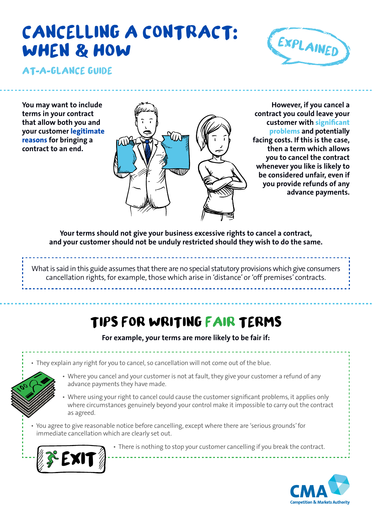# **CANCELLING A CONTRACT WHEN & HOW**



**At a glance guide**

**You may want to include terms in your contract that allow both you and your customer legitimate reasons for bringing a contract to an end.**



**Your terms should not give your business excessive rights to cancel a contract, and your customer should not be unduly restricted should they wish to do the same.** 

What is said in this guide assumes that there are no special statutory provisions which give consumers cancellation rights, for example, those which arise in 'distance'or 'off premises' contracts.

## **TIPS FOR WRITING FAIR TERMS**

**For example, your terms are more likely to be fair if:**

- They explain any right for you to cancel, so cancellation will not come out of the blue.
- 
- Where you cancel and your customer is not at fault, they give your customer a refund of any advance payments they have made.
- Where using your right to cancel could cause the customer significant problems, it applies only where circumstances genuinely beyond your control make it impossible to carry out the contract as agreed.
- You agree to give reasonable notice before cancelling, except where there are 'serious grounds'for immediate cancellation which are clearly set out.



• There is nothing to stop your customer cancelling if you break the contract.